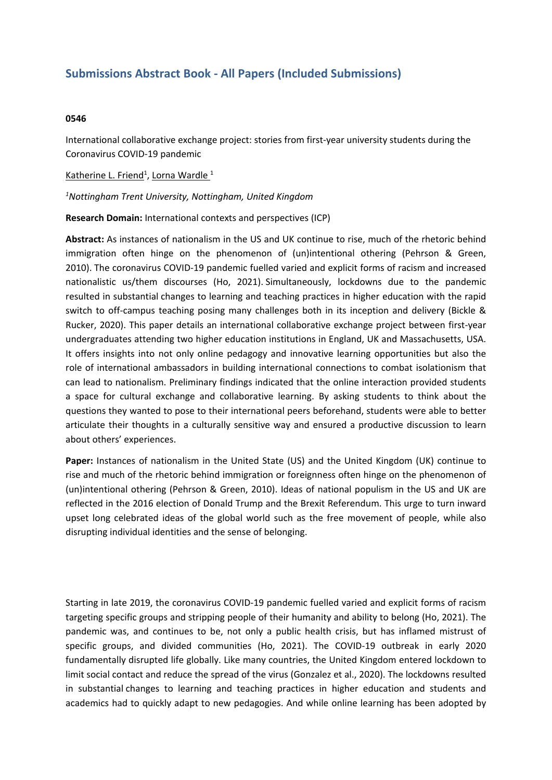## **Submissions Abstract Book - All Papers (Included Submissions)**

## **0546**

International collaborative exchange project: stories from first-year university students during the Coronavirus COVID-19 pandemic

Katherine L. Friend<sup>1</sup>, Lorna Wardle <sup>1</sup>

*1 Nottingham Trent University, Nottingham, United Kingdom*

**Research Domain:** International contexts and perspectives (ICP)

**Abstract:** As instances of nationalism in the US and UK continue to rise, much of the rhetoric behind immigration often hinge on the phenomenon of (un)intentional othering (Pehrson & Green, 2010). The coronavirus COVID-19 pandemic fuelled varied and explicit forms of racism and increased nationalistic us/them discourses (Ho, 2021). Simultaneously, lockdowns due to the pandemic resulted in substantial changes to learning and teaching practices in higher education with the rapid switch to off-campus teaching posing many challenges both in its inception and delivery (Bickle & Rucker, 2020). This paper details an international collaborative exchange project between first-year undergraduates attending two higher education institutions in England, UK and Massachusetts, USA. It offers insights into not only online pedagogy and innovative learning opportunities but also the role of international ambassadors in building international connections to combat isolationism that can lead to nationalism. Preliminary findings indicated that the online interaction provided students <sup>a</sup> space for cultural exchange and collaborative learning. By asking students to think about the questions they wanted to pose to their international peers beforehand, students were able to better articulate their thoughts in <sup>a</sup> culturally sensitive way and ensured <sup>a</sup> productive discussion to learn about others' experiences.

**Paper:** Instances of nationalism in the United State (US) and the United Kingdom (UK) continue to rise and much of the rhetoric behind immigration or foreignness often hinge on the phenomenon of (un)intentional othering (Pehrson & Green, 2010). Ideas of national populism in the US and UK are reflected in the 2016 election of Donald Trump and the Brexit Referendum. This urge to turn inward upset long celebrated ideas of the global world such as the free movement of people, while also disrupting individual identities and the sense of belonging.

Starting in late 2019, the coronavirus COVID-19 pandemic fuelled varied and explicit forms of racism targeting specific groups and stripping people of their humanity and ability to belong (Ho, 2021). The pandemic was, and continues to be, not only <sup>a</sup> public health crisis, but has inflamed mistrust of specific groups, and divided communities (Ho, 2021). The COVID-19 outbreak in early 2020 fundamentally disrupted life globally. Like many countries, the United Kingdom entered lockdown to limit social contact and reduce the spread of the virus (Gonzalez et al., 2020). The lockdowns resulted in substantial changes to learning and teaching practices in higher education and students and academics had to quickly adapt to new pedagogies. And while online learning has been adopted by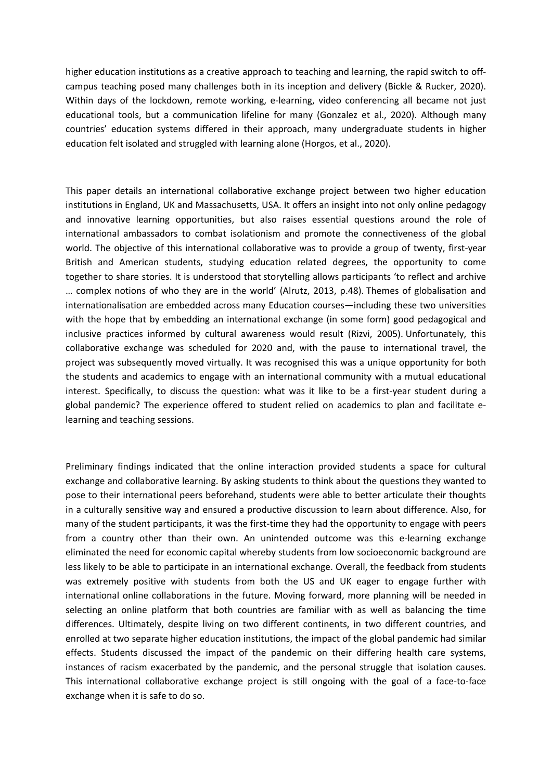higher education institutions as <sup>a</sup> creative approach to teaching and learning, the rapid switch to offcampus teaching posed many challenges both in its inception and delivery (Bickle & Rucker, 2020). Within days of the lockdown, remote working, e-learning, video conferencing all became not just educational tools, but <sup>a</sup> communication lifeline for many (Gonzalez et al., 2020). Although many countries' education systems differed in their approach, many undergraduate students in higher education felt isolated and struggled with learning alone (Horgos, et al., 2020).

This paper details an international collaborative exchange project between two higher education institutions in England, UK and Massachusetts, USA. It offers an insight into not only online pedagogy and innovative learning opportunities, but also raises essential questions around the role of international ambassadors to combat isolationism and promote the connectiveness of the global world. The objective of this international collaborative was to provide <sup>a</sup> group of twenty, first-year British and American students, studying education related degrees, the opportunity to come together to share stories. It is understood that storytelling allows participants 'to reflect and archive … complex notions of who they are in the world' (Alrutz, 2013, p.48). Themes of globalisation and internationalisation are embedded across many Education courses—including these two universities with the hope that by embedding an international exchange (in some form) good pedagogical and inclusive practices informed by cultural awareness would result (Rizvi, 2005). Unfortunately, this collaborative exchange was scheduled for 2020 and, with the pause to international travel, the project was subsequently moved virtually. It was recognised this was <sup>a</sup> unique opportunity for both the students and academics to engage with an international community with <sup>a</sup> mutual educational interest. Specifically, to discuss the question: what was it like to be <sup>a</sup> first-year student during <sup>a</sup> global pandemic? The experience offered to student relied on academics to plan and facilitate elearning and teaching sessions.

Preliminary findings indicated that the online interaction provided students <sup>a</sup> space for cultural exchange and collaborative learning. By asking students to think about the questions they wanted to pose to their international peers beforehand, students were able to better articulate their thoughts in <sup>a</sup> culturally sensitive way and ensured <sup>a</sup> productive discussion to learn about difference. Also, for many of the student participants, it was the first-time they had the opportunity to engage with peers from <sup>a</sup> country other than their own. An unintended outcome was this e-learning exchange eliminated the need for economic capital whereby students from low socioeconomic background are less likely to be able to participate in an international exchange. Overall, the feedback from students was extremely positive with students from both the US and UK eager to engage further with international online collaborations in the future. Moving forward, more planning will be needed in selecting an online platform that both countries are familiar with as well as balancing the time differences. Ultimately, despite living on two different continents, in two different countries, and enrolled at two separate higher education institutions, the impact of the global pandemic had similar effects. Students discussed the impact of the pandemic on their differing health care systems, instances of racism exacerbated by the pandemic, and the personal struggle that isolation causes. This international collaborative exchange project is still ongoing with the goal of <sup>a</sup> face-to-face exchange when it is safe to do so.